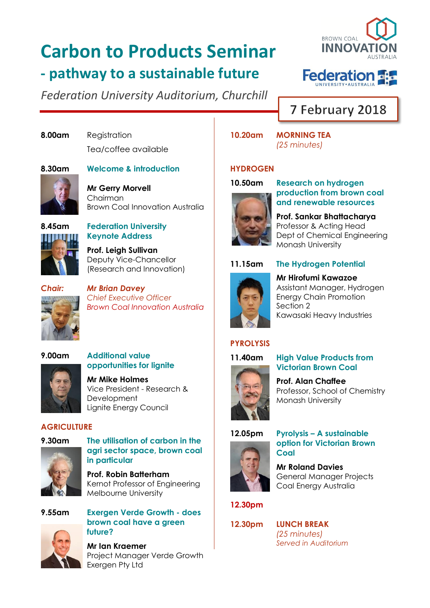# **Carbon to Products Seminar - pathway to a sustainable future**

*Federation University Auditorium, Churchill*





## 7 February 2018

**8.00am** Registration Tea/coffee available

### **8.30am Welcome & introduction**

**Mr Gerry Morvell** Chairman Brown Coal Innovation Australia

### **8.45am Federation University Keynote Address**

**Prof. Leigh Sullivan** Deputy Vice-Chancellor (Research and Innovation)



*Chair: Mr Brian Davey Chief Executive Officer Brown Coal Innovation Australia*



**opportunities for lignite Mr Mike Holmes** Vice President - Research & **Development** 

Lignite Energy Council

### **AGRICULTURE**



**9.30am The utilisation of carbon in the agri sector space, brown coal in particular**

> **Prof. Robin Batterham** Kernot Professor of Engineering Melbourne University



**9.55am Exergen Verde Growth - does brown coal have a green future?**

> **Mr Ian Kraemer** Project Manager Verde Growth Exergen Pty Ltd

**10.20am MORNING TEA** *(25 minutes)*

### **HYDROGEN**



**10.50am Research on hydrogen production from brown coal and renewable resources**

> **Prof. Sankar Bhattacharya** Professor & Acting Head Dept of Chemical Engineering Monash University

Assistant Manager, Hydrogen Energy Chain Promotion

Kawasaki Heavy Industries



**11.15am The Hydrogen Potential Mr Hirofumi Kawazoe**

# **PYROLYSIS**

Section 2

### **11.40am High Value Products from**



**Prof. Alan Chaffee** Professor, School of Chemistry

**Victorian Brown Coal**



### **12.05pm Pyrolysis – A sustainable option for Victorian Brown Coal**

**Mr Roland Davies** General Manager Projects Coal Energy Australia

### **12.30pm**



**12.30pm LUNCH BREAK** *(25 minutes) Served in Auditorium*

Monash University